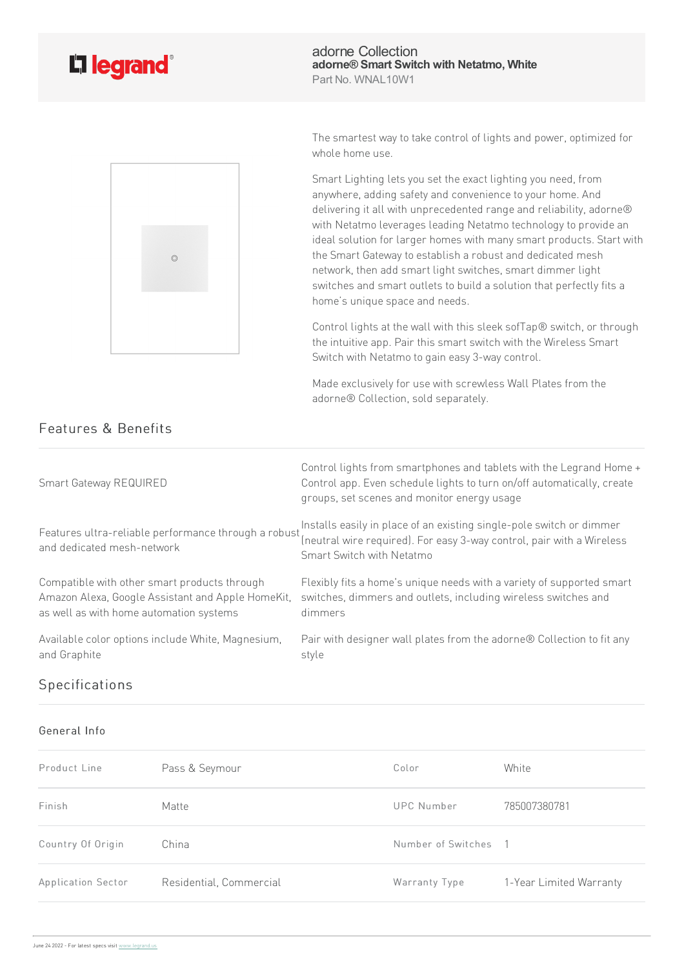



adorne Collection **adorne® Smart Switch with Netatmo, White** Part No. WNAL10W1

The smartest way to take control of lights and power, optimized for whole home use.

Smart Lighting lets you set the exact lighting you need, from anywhere, adding safety and convenience to your home. And delivering it all with unprecedented range and reliability, adorne® with Netatmo leverages leading Netatmo technology to provide an ideal solution for larger homes with many smart products. Start with the Smart Gateway to establish a robust and dedicated mesh network, then add smart light switches, smart dimmer light switches and smart outlets to build a solution that perfectly fits a home's unique space and needs.

Control lights at the wall with this sleek sofTap® switch, or through the intuitive app. Pair this smart switch with the Wireless Smart Switch with Netatmo to gain easy 3-way control.

Made exclusively for use with screwless Wall Plates from the adorne® Collection, sold separately.

| Smart Gateway REQUIRED                                                             | Control lights from smartphones and tablets with the Legrand Home +<br>Control app. Even schedule lights to turn on/off automatically, create<br>groups, set scenes and monitor energy usage |
|------------------------------------------------------------------------------------|----------------------------------------------------------------------------------------------------------------------------------------------------------------------------------------------|
| Features ultra-reliable performance through a robust<br>and dedicated mesh-network | Installs easily in place of an existing single-pole switch or dimmer<br>(neutral wire required). For easy 3-way control, pair with a Wireless<br>Smart Switch with Netatmo                   |
| Compatible with other smart products through                                       | Flexibly fits a home's unique needs with a variety of supported smart                                                                                                                        |
| Amazon Alexa, Google Assistant and Apple HomeKit,                                  | switches, dimmers and outlets, including wireless switches and                                                                                                                               |
| as well as with home automation systems                                            | dimmers                                                                                                                                                                                      |
| Available color options include White, Magnesium,                                  | Pair with designer wall plates from the adorne® Collection to fit any                                                                                                                        |
| and Graphite                                                                       | style                                                                                                                                                                                        |

## Specifications

## General Info

| Product Line       | Pass & Seymour          | Color              | White                   |
|--------------------|-------------------------|--------------------|-------------------------|
| Finish             | Matte                   | UPC Number         | 785007380781            |
| Country Of Origin  | China                   | Number of Switches | $\overline{1}$          |
| Application Sector | Residential, Commercial | Warranty Type      | 1-Year Limited Warranty |

## Features & Benefits